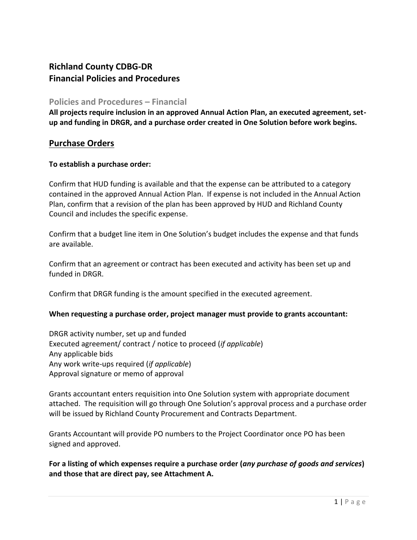# **Richland County CDBG-DR Financial Policies and Procedures**

#### **Policies and Procedures – Financial**

**All projects require inclusion in an approved Annual Action Plan, an executed agreement, setup and funding in DRGR, and a purchase order created in One Solution before work begins.**

## **Purchase Orders**

#### **To establish a purchase order:**

Confirm that HUD funding is available and that the expense can be attributed to a category contained in the approved Annual Action Plan. If expense is not included in the Annual Action Plan, confirm that a revision of the plan has been approved by HUD and Richland County Council and includes the specific expense.

Confirm that a budget line item in One Solution's budget includes the expense and that funds are available.

Confirm that an agreement or contract has been executed and activity has been set up and funded in DRGR.

Confirm that DRGR funding is the amount specified in the executed agreement.

#### **When requesting a purchase order, project manager must provide to grants accountant:**

DRGR activity number, set up and funded Executed agreement/ contract / notice to proceed (*if applicable*) Any applicable bids Any work write-ups required (*if applicable*) Approval signature or memo of approval

Grants accountant enters requisition into One Solution system with appropriate document attached. The requisition will go through One Solution's approval process and a purchase order will be issued by Richland County Procurement and Contracts Department.

Grants Accountant will provide PO numbers to the Project Coordinator once PO has been signed and approved.

**For a listing of which expenses require a purchase order (***any purchase of goods and services***) and those that are direct pay, see Attachment A.**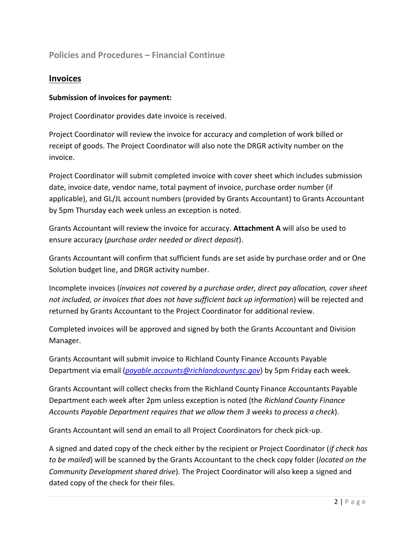# **Policies and Procedures – Financial Continue**

### **Invoices**

#### **Submission of invoices for payment:**

Project Coordinator provides date invoice is received.

Project Coordinator will review the invoice for accuracy and completion of work billed or receipt of goods. The Project Coordinator will also note the DRGR activity number on the invoice.

Project Coordinator will submit completed invoice with cover sheet which includes submission date, invoice date, vendor name, total payment of invoice, purchase order number (if applicable), and GL/JL account numbers (provided by Grants Accountant) to Grants Accountant by 5pm Thursday each week unless an exception is noted.

Grants Accountant will review the invoice for accuracy. **Attachment A** will also be used to ensure accuracy (*purchase order needed or direct deposit*).

Grants Accountant will confirm that sufficient funds are set aside by purchase order and or One Solution budget line, and DRGR activity number.

Incomplete invoices (*invoices not covered by a purchase order, direct pay allocation, cover sheet not included, or invoices that does not have sufficient back up information*) will be rejected and returned by Grants Accountant to the Project Coordinator for additional review.

Completed invoices will be approved and signed by both the Grants Accountant and Division Manager.

Grants Accountant will submit invoice to Richland County Finance Accounts Payable Department via email (*[payable.accounts@richlandcountysc.gov](mailto:payable.accounts@richlandcountysc.gov)*) by 5pm Friday each week.

Grants Accountant will collect checks from the Richland County Finance Accountants Payable Department each week after 2pm unless exception is noted (the *Richland County Finance Accounts Payable Department requires that we allow them 3 weeks to process a check*).

Grants Accountant will send an email to all Project Coordinators for check pick-up.

A signed and dated copy of the check either by the recipient or Project Coordinator (*if check has to be mailed*) will be scanned by the Grants Accountant to the check copy folder (*located on the Community Development shared drive*). The Project Coordinator will also keep a signed and dated copy of the check for their files.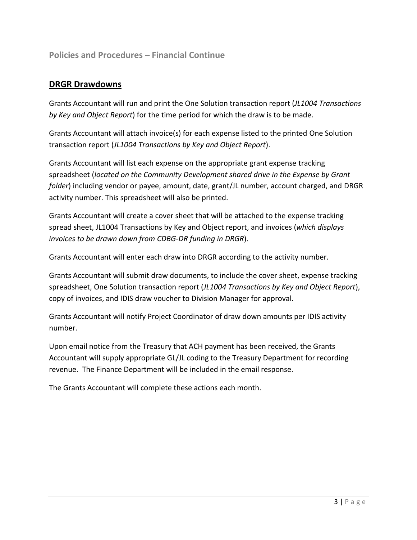## **Policies and Procedures – Financial Continue**

### **DRGR Drawdowns**

Grants Accountant will run and print the One Solution transaction report (*JL1004 Transactions by Key and Object Report*) for the time period for which the draw is to be made.

Grants Accountant will attach invoice(s) for each expense listed to the printed One Solution transaction report (*JL1004 Transactions by Key and Object Report*).

Grants Accountant will list each expense on the appropriate grant expense tracking spreadsheet (*located on the Community Development shared drive in the Expense by Grant folder*) including vendor or payee, amount, date, grant/JL number, account charged, and DRGR activity number. This spreadsheet will also be printed.

Grants Accountant will create a cover sheet that will be attached to the expense tracking spread sheet, JL1004 Transactions by Key and Object report, and invoices (*which displays invoices to be drawn down from CDBG-DR funding in DRGR*).

Grants Accountant will enter each draw into DRGR according to the activity number.

Grants Accountant will submit draw documents, to include the cover sheet, expense tracking spreadsheet, One Solution transaction report (*JL1004 Transactions by Key and Object Report*), copy of invoices, and IDIS draw voucher to Division Manager for approval.

Grants Accountant will notify Project Coordinator of draw down amounts per IDIS activity number.

Upon email notice from the Treasury that ACH payment has been received, the Grants Accountant will supply appropriate GL/JL coding to the Treasury Department for recording revenue. The Finance Department will be included in the email response.

The Grants Accountant will complete these actions each month.